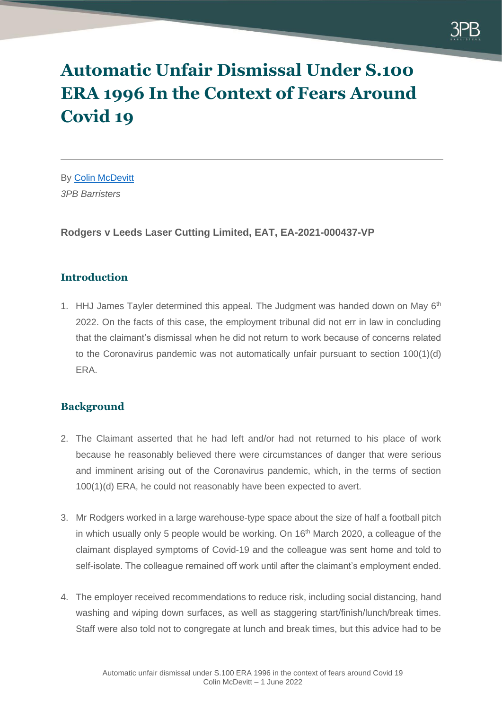

# **Automatic Unfair Dismissal Under S.100 ERA 1996 In the Context of Fears Around Covid 19**

By [Colin McDevitt](https://www.3pb.co.uk/barristers/colin-mcdevitt/employment-law/) *3PB Barristers*

**Rodgers v Leeds Laser Cutting Limited, EAT, EA-2021-000437-VP**

# **Introduction**

1. HHJ James Tayler determined this appeal. The Judgment was handed down on May 6<sup>th</sup> 2022. On the facts of this case, the employment tribunal did not err in law in concluding that the claimant's dismissal when he did not return to work because of concerns related to the Coronavirus pandemic was not automatically unfair pursuant to section 100(1)(d) ERA.

# **Background**

- 2. The Claimant asserted that he had left and/or had not returned to his place of work because he reasonably believed there were circumstances of danger that were serious and imminent arising out of the Coronavirus pandemic, which, in the terms of section 100(1)(d) ERA, he could not reasonably have been expected to avert.
- 3. Mr Rodgers worked in a large warehouse-type space about the size of half a football pitch in which usually only 5 people would be working. On  $16<sup>th</sup>$  March 2020, a colleague of the claimant displayed symptoms of Covid-19 and the colleague was sent home and told to self-isolate. The colleague remained off work until after the claimant's employment ended.
- 4. The employer received recommendations to reduce risk, including social distancing, hand washing and wiping down surfaces, as well as staggering start/finish/lunch/break times. Staff were also told not to congregate at lunch and break times, but this advice had to be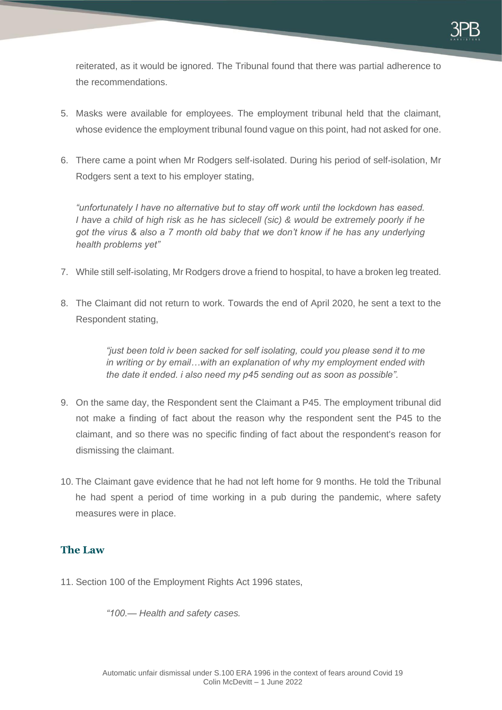

reiterated, as it would be ignored. The Tribunal found that there was partial adherence to the recommendations.

- 5. Masks were available for employees. The employment tribunal held that the claimant, whose evidence the employment tribunal found vague on this point, had not asked for one.
- 6. There came a point when Mr Rodgers self-isolated. During his period of self-isolation, Mr Rodgers sent a text to his employer stating,

*"unfortunately I have no alternative but to stay off work until the lockdown has eased. I have a child of high risk as he has siclecell (sic) & would be extremely poorly if he got the virus & also a 7 month old baby that we don't know if he has any underlying health problems yet"*

- 7. While still self-isolating, Mr Rodgers drove a friend to hospital, to have a broken leg treated.
- 8. The Claimant did not return to work. Towards the end of April 2020, he sent a text to the Respondent stating,

*"just been told iv been sacked for self isolating, could you please send it to me in writing or by email…with an explanation of why my employment ended with the date it ended. i also need my p45 sending out as soon as possible".*

- 9. On the same day, the Respondent sent the Claimant a P45. The employment tribunal did not make a finding of fact about the reason why the respondent sent the P45 to the claimant, and so there was no specific finding of fact about the respondent's reason for dismissing the claimant.
- 10. The Claimant gave evidence that he had not left home for 9 months. He told the Tribunal he had spent a period of time working in a pub during the pandemic, where safety measures were in place.

# **The Law**

11. Section 100 of the Employment Rights Act 1996 states,

*"100.— Health and safety cases.*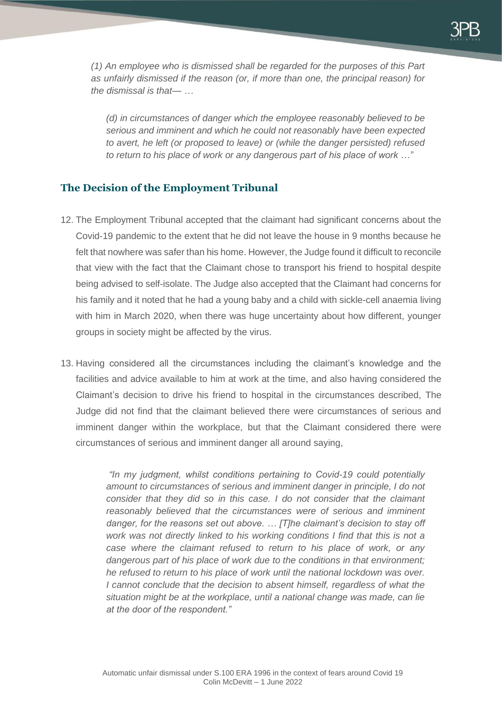*(1) An employee who is dismissed shall be regarded for the purposes of this Part as unfairly dismissed if the reason (or, if more than one, the principal reason) for the dismissal is that— …*

*(d) in circumstances of danger which the employee reasonably believed to be serious and imminent and which he could not reasonably have been expected to avert, he left (or proposed to leave) or (while the danger persisted) refused to return to his place of work or any dangerous part of his place of work …"*

# **The Decision of the Employment Tribunal**

- 12. The Employment Tribunal accepted that the claimant had significant concerns about the Covid-19 pandemic to the extent that he did not leave the house in 9 months because he felt that nowhere was safer than his home. However, the Judge found it difficult to reconcile that view with the fact that the Claimant chose to transport his friend to hospital despite being advised to self-isolate. The Judge also accepted that the Claimant had concerns for his family and it noted that he had a young baby and a child with sickle-cell anaemia living with him in March 2020, when there was huge uncertainty about how different, younger groups in society might be affected by the virus.
- 13. Having considered all the circumstances including the claimant's knowledge and the facilities and advice available to him at work at the time, and also having considered the Claimant's decision to drive his friend to hospital in the circumstances described, The Judge did not find that the claimant believed there were circumstances of serious and imminent danger within the workplace, but that the Claimant considered there were circumstances of serious and imminent danger all around saying,

*"In my judgment, whilst conditions pertaining to Covid-19 could potentially amount to circumstances of serious and imminent danger in principle, I do not consider that they did so in this case. I do not consider that the claimant reasonably believed that the circumstances were of serious and imminent danger, for the reasons set out above. … [T]he claimant's decision to stay off work was not directly linked to his working conditions I find that this is not a case where the claimant refused to return to his place of work, or any*  dangerous part of his place of work due to the conditions in that environment; *he refused to return to his place of work until the national lockdown was over. I cannot conclude that the decision to absent himself, regardless of what the situation might be at the workplace, until a national change was made, can lie at the door of the respondent."*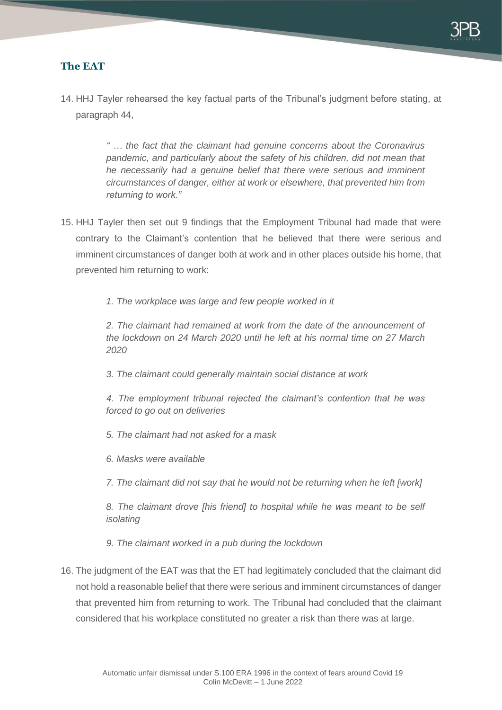

# **The EAT**

14. HHJ Tayler rehearsed the key factual parts of the Tribunal's judgment before stating, at paragraph 44,

> *" … the fact that the claimant had genuine concerns about the Coronavirus pandemic, and particularly about the safety of his children, did not mean that he necessarily had a genuine belief that there were serious and imminent circumstances of danger, either at work or elsewhere, that prevented him from returning to work."*

- 15. HHJ Tayler then set out 9 findings that the Employment Tribunal had made that were contrary to the Claimant's contention that he believed that there were serious and imminent circumstances of danger both at work and in other places outside his home, that prevented him returning to work:
	- *1. The workplace was large and few people worked in it*

*2. The claimant had remained at work from the date of the announcement of the lockdown on 24 March 2020 until he left at his normal time on 27 March 2020*

*3. The claimant could generally maintain social distance at work*

*4. The employment tribunal rejected the claimant's contention that he was forced to go out on deliveries*

- *5. The claimant had not asked for a mask*
- *6. Masks were available*

*7. The claimant did not say that he would not be returning when he left [work]*

*8. The claimant drove [his friend] to hospital while he was meant to be self isolating*

*9. The claimant worked in a pub during the lockdown*

16. The judgment of the EAT was that the ET had legitimately concluded that the claimant did not hold a reasonable belief that there were serious and imminent circumstances of danger that prevented him from returning to work. The Tribunal had concluded that the claimant considered that his workplace constituted no greater a risk than there was at large.